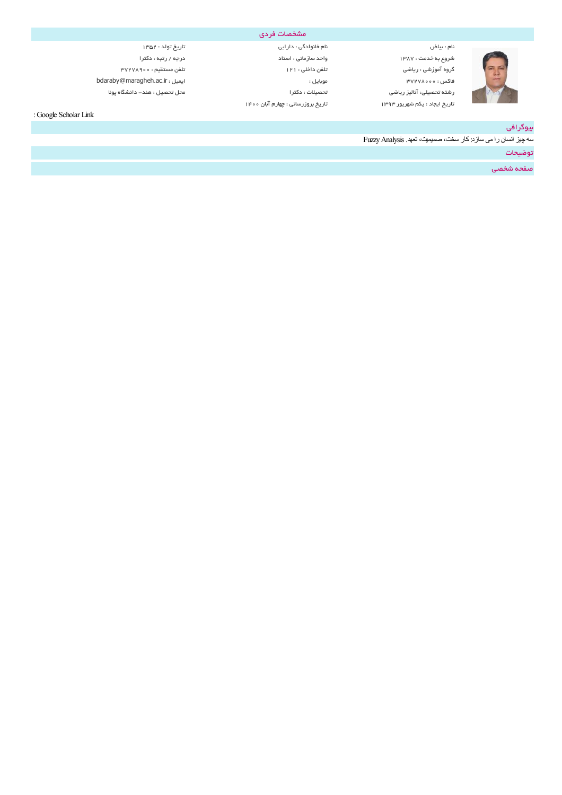

شروعبهخدمت 1387: واحد سازمانی : استاد درجه /رتبه: دکترا گروه آموزشی : ریاضی تلفن تلفن داخلی تلفن داخلی 12 تلفن مستقیم : ۳۷۲۷۸۹۰۰۰ تلفن مستقیم : ۳۷۲۷۸۹۰۰۰ bdaraby@maragheh.ac.ir : ایمیل : موبایل 37278000: فاکس رشتهتحصیلی: آنالیز ریاضی تحصیلات : دکترا محل تحصیل :هند-دانشگاه پونا تاریخ ایجاد : یکم شهریور ۱۳۹۳ تاریخ بروزرسانی : چهارم آبان ۱۴۰۰

نام : بیاض نام : ۱۳۵۲ نیاست نامخانوادگی : دارابی تاریخ تولد : ۱۳۵۳ نیاریخ تولد : ۱۳۵۳

مشخصات فردي

:Google Scholar Link

# بیوگرافی

سھ چیز انسان رامی سازد:کار سخت، صمیمیت، تعھد. FuzzyAnalysis

توضیحات

صفحه شخصی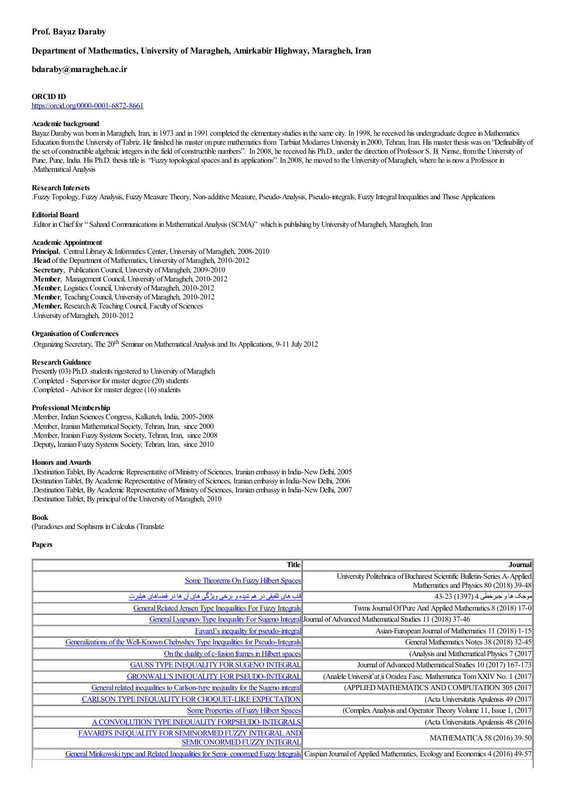# **Prof. Bayaz Daraby**

# **Department of Mathematics, University of Maragheh, Amirkabir Highway, Maragheh, Iran**

## **bdaraby@maragheh.ac.ir**

# **ORCID ID**

<https://orcid.org/0000-0001-6872-8661>

#### **Academic background**

Bayaz Daraby was born in Maragheh, Iran, in 1973 and in 1991 completed the elementary studies in the same city. In 1998, he received his undergraduate degree in Mathematics Education fromthe University ofTabriz. Hefinished his master on pure mathematics from Tarbiiat Modarres University in 2000, Tehran, Iran. His master thesis was on "Definability of the set of constructible algebraic integers in the field of constructible numbers". In 2008, he received his Ph.D., under the direction of Professor S. B. Nimse, from the University of Pune, Pune, India. His Ph.D. thesis title is "Fuzzy topological spaces and its applications". In 2008, he moved to the University of Maragheh, where he is now a Professor in .Mathematical Analysis

#### **Research Intersets**

.FuzzyTopology, FuzzyAnalysis, FuzzyMeasure Theory, Non-additive Measure, Pseudo-Analysis, Pseudo-integrals, Fuzzy IntegralInequalitiesand Those Applications

#### **Editorial Board**

.Editor inChieffor" Sahand Communications inMathematicalAnalysis (SCMA)" which is publishing byUniversity ofMaragheh, Maragheh, Iran

## **Academic Appointment**

Principal, Central Library & Informatics Center, University of Maragheh, 2008-2010 .**Head** of the Department of Mathematics, University of Maragheh, 2010-2012 .**Secretary**, Publication Council, University of Maragheh, 2009-2010 .**Member**, Management Council, University of Maragheh, 2010-2012 .**Member**, Logistics Council, University of Maragheh, 2010-2012 .**Member**, Teaching Council, University of Maragheh, 2010-2012 , Member, Research & Teaching Council, Faculty of Sciences .University ofMaragheh, 2010-2012

### **Organisation of Conferences**

Organizing Secretary, The 20<sup>th</sup> Seminar on Mathematical Analysis and Its Applications, 9-11 July 2012.

#### **Research Guidance**

Presently (03) Ph.D. students rigestered to University of Maragheh .Completed - Supervisor for master degree(20) students .Completed - Advisor for master degree(16) students

## **Professional Membership**

.Member, Indian Sciences Congress, Kalkateh, India, 2005-2008 .Member, Iranian Mathematical Society, Tehran, Iran, since 2000 .Member, Iranian Fuzzy Systems Society, Tehran, Iran, since 2008 .Deputy**,** Iranian Fuzzy Systems Society, Tehran, Iran, since 2010

#### **Honors andAwards**

.DestinationTablet, ByAcademic Representative ofMinistry ofSciences, Iranian embassy in India-NewDelhi, 2005 Destination Tablet, By Academic Representative of Ministry of Sciences, Iranian embassy in India-New Delhi, 2006 .DestinationTablet, ByAcademic Representative ofMinistry ofSciences, Iranian embassy in India-NewDelhi, 2007 .Destination Tablet, By principal of the University of Maragheh, 2010

#### **Book**

(Paradoxesand Sophisms inCalculus (Translate

## **Papers**

| Title                                                                                                                                                          | Journal                                                                                                       |
|----------------------------------------------------------------------------------------------------------------------------------------------------------------|---------------------------------------------------------------------------------------------------------------|
| <b>Some Theorems On Fuzzy Hilbert Spaces</b>                                                                                                                   | University Politehnica of Bucharest Scientific Bulletin-Series A-Applied                                      |
|                                                                                                                                                                | Mathematics and Physics 80 (2018) 39-48                                                                       |
| قلب های تلفیقی در هم تنیده و برخی ویژگی های آن ها در فضاهای هیلبرت                                                                                             | موجک ها و جبرخطی 4 (1397) 43-23                                                                               |
| <b>General Related Jensen Type Inequalities For Fuzzy Integrals</b>                                                                                            | Twms Journal Of Pure And Applied Mathematics 8 (2018) 17-0                                                    |
|                                                                                                                                                                | General Lyapunov Type Inequality For Sugeno Integral Journal of Advanced Mathematical Studies 11 (2018) 37-46 |
| Favard's inequality for pseudo-integral                                                                                                                        | Asian-European Journal of Mathematics 11 (2018) 1-15                                                          |
| Generalizations of the Well-Known Chebyshev Type Inequalities for Pseudo-Integrals                                                                             | General Mathematics Notes 38 (2018) 32-45                                                                     |
| On the duality of c-fusion frames in Hilbert spaces                                                                                                            | (Analysis and Mathematical Physics 7 (2017)                                                                   |
| <b>GAUSS TYPE INEQUALITY FOR SUGENO INTEGRAL</b>                                                                                                               | Journal of Advanced Mathematical Studies 10 (2017) 167-173                                                    |
| <b>GRONWALL'S INEQUALITY FOR PSEUDO-INTEGRAL</b>                                                                                                               | (Analele Universit at ii Oradea Fasc. Mathematica Tom XXIV No. 1 (2017)                                       |
| General related inequalities to Carlson-type inequality for the Sugeno integral                                                                                | (APPLIED MATHEMATICS AND COMPUTATION 305 (2017                                                                |
| <b>CARLSON TYPE INEQUALITY FOR CHOQUET-LIKE EXPECTATION</b>                                                                                                    | (Acta Universitatis Apulensis 49 (2017                                                                        |
| <b>Some Properties of Fuzzy Hilbert Spaces</b>                                                                                                                 | (Complex Analysis and Operator Theory Volume 11, Issue 1, (2017)                                              |
| A CONVOLUTION TYPE INEQUALITY FORPSEUDO-INTEGRALS                                                                                                              | (Acta Universitatis Apulensis 48 (2016)                                                                       |
| FAVARD'S INEQUALITY FOR SEMINORMED FUZZY INTEGRAL AND                                                                                                          | MATHEMATICA 58 (2016) 39-50                                                                                   |
| <b>SEMICONORMED FUZZY INTEGRAL</b>                                                                                                                             |                                                                                                               |
| General Minkowski type and Related Inequalities for Semi-conormed Fuzzy Integrals Caspian Journal of Applied Mathematics, Ecology and Economics 4 (2016) 49-57 |                                                                                                               |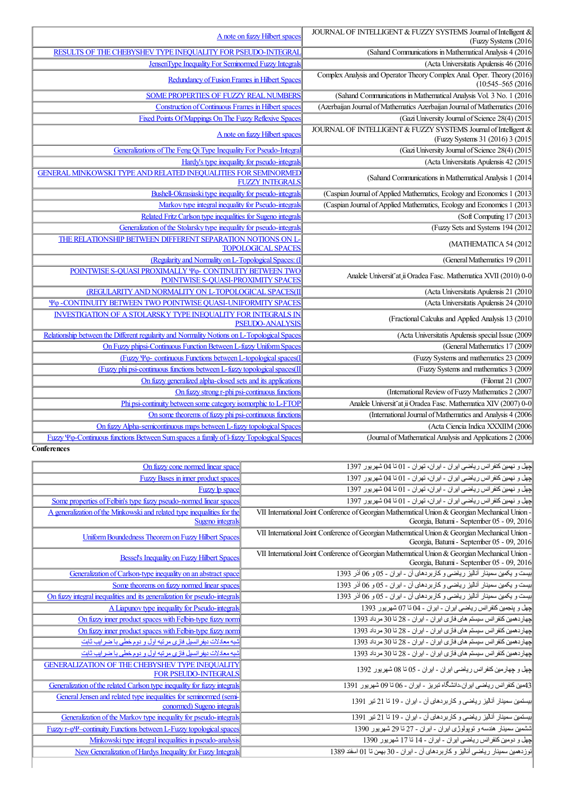| A note on fuzzy Hilbert spaces                                                                            | JOURNAL OF INTELLIGENT & FUZZY SYSTEMS Journal of Intelligent &<br>(Fuzzy Systems (2016             |
|-----------------------------------------------------------------------------------------------------------|-----------------------------------------------------------------------------------------------------|
| RESULTS OF THE CHEBYSHEV TYPE INEQUALITY FOR PSEUDO-INTEGRAL                                              | (Sahand Communications in Mathematical Analysis 4 (2016)                                            |
| <b>JensenType Inequality For Seminormed Fuzzy Integrals</b>                                               | (Acta Universitatis Apulensis 46 (2016                                                              |
|                                                                                                           | Complex Analysis and Operator Theory Complex Anal. Oper. Theory (2016)                              |
| Redundancy of Fusion Frames in Hilbert Spaces                                                             | $(10:545-565(2016$                                                                                  |
| <b>SOME PROPERTIES OF FUZZY REAL NUMBERS</b>                                                              | (Sahand Communications in Mathematical Analysis Vol. 3 No. 1 (2016)                                 |
| <b>Construction of Continuous Frames in Hilbert spaces</b>                                                | (Azerbaijan Journal of Mathematics Azerbaijan Journal of Mathematics (2016                          |
| Fixed Points Of Mappings On The Fuzzy Reflexive Spaces                                                    | (Gazi University Journal of Science 28(4) (2015                                                     |
| A note on fuzzy Hilbert spaces                                                                            | JOURNAL OF INTELLIGENT & FUZZY SYSTEMS Journal of Intelligent &<br>(Fuzzy Systems 31 (2016) 3 (2015 |
| Generalizations of The Feng Qi Type Inequality For Pseudo-Integral                                        | (Gazi University Journal of Science 28(4) (2015)                                                    |
| Hardy's type inequality for pseudo-integrals                                                              | (Acta Universitatis Apulensis 42 (2015)                                                             |
| <b>GENERAL MINKOWSKI TYPE AND RELATED INEQUALITIES FOR SEMINORMED</b><br><b>FUZZY INTEGRALS</b>           | (Sahand Communications in Mathematical Analysis 1 (2014                                             |
| Bushell-Okrasiaski type inequality for pseudo-integrals                                                   | (Caspian Journal of Applied Mathematics, Ecology and Economics 1 (2013)                             |
| Markov type integral inequality for Pseudo-integrals                                                      | (Caspian Journal of Applied Mathematics, Ecology and Economics 1 (2013)                             |
| Related Fritz Carlson type inequalities for Sugeno integrals                                              | (Soft Computing 17 (2013)                                                                           |
| Generalization of the Stolarsky type inequality for pseudo-integrals                                      | (Fuzzy Sets and Systems 194 (2012)                                                                  |
| THE RELATIONSHIP BETWEEN DIFFERENT SEPARATION NOTIONS ON L-<br><b>TOPOLOGICAL SPACES</b>                  | (MATHEMATICA 54 (2012                                                                               |
| (Regularity and Normality on L-Topological Spaces: (I                                                     | (General Mathematics 19 (2011)                                                                      |
| POINTWISE S-QUASI PROXIMALLY $\Psi_{\Phi}$ - CONTINUITY BETWEEN TWO<br>POINTWISE S-QUASI-PROXIMITY SPACES | Analele Universit at ii Oradea Fasc. Mathematica XVII (2010) 0-0                                    |
| (REGULARITY AND NORMALITY ON L-TOPOLOGICAL SPACES(II                                                      | (Acta Universitatis Apulensis 21 (2010                                                              |
| YO-CONTINUITY BETWEEN TWO POINTWISE QUASI-UNIFORMITY SPACES                                               | (Acta Universitatis Apulensis 24 (2010                                                              |
| <b>INVESTIGATION OF A STOLARSKY TYPE INEQUALITY FOR INTEGRALS IN</b><br><b>PSEUDO-ANALYSIS</b>            | (Fractional Calculus and Applied Analysis 13 (2010                                                  |
| Relationship between the Different regularity and Normality Notions on L-Topological Spaces               | (Acta Universitatis Apulensis special Issue (2009                                                   |
| On Fuzzy phipsi-Continuous Function Between L-fuzzy Uniform Spaces                                        | (General Mathematics 17 (2009)                                                                      |
| $(Fuzzy \Psi\varphi$ - continuous Functions between L-topological spaces(I                                | (Fuzzy Systems and mathematics 23 (2009)                                                            |
| (Fuzzy phi psi-continuous functions between L-fuzzy topological spaces(II                                 | (Fuzzy Systems and mathematics 3 (2009)                                                             |
| On fuzzy generalized alpha-closed sets and its applications                                               | (Filomat 21 (2007)                                                                                  |
| On fuzzy strong r-phi psi-continuous functions                                                            | (International Review of Fuzzy Mathematics 2 (2007)                                                 |
| Phi psi-continuity between some category isomorphic to L-FTOP                                             | Analele Universit at ii Oradea Fasc. Mathematica XIV (2007) 0-0                                     |
| On some theorems of fuzzy phi psi-continuous functions                                                    | (International Journal of Mathematics and Analysis 4 (2006)                                         |
| On fuzzy Alpha-semicontinuous maps between L-fuzzy topological Spaces                                     | (Acta Ciencia Indica XXXIIM (2006                                                                   |
| Fuzzy Y <sub>0</sub> -Continuous functions Between Sum spaces a family of l-fuzzy Topological Spaces      | (Journal of Mathematical Analysis and Applications 2 (2006                                          |

**Conferences**

| On fuzzy cone normed linear space                                                                | لچهل و نهمین کنفرانس ریاضی ایران - ایران، تهران - 01 تا 04 شهریور 1397                                                                       |
|--------------------------------------------------------------------------------------------------|----------------------------------------------------------------------------------------------------------------------------------------------|
| Fuzzy Bases in inner product spaces                                                              | لچهل و نهمین کنفرانس ریاضی ایران - ایران، تهران - 01 تا 04 شهریور 1397                                                                       |
| Fuzzy lp space                                                                                   | لچهل و نهمین کنفرانس ریاضی ایران - ایران، تهران - 01 تا 04 شهریور 1397                                                                       |
| Some properties of Felbin's type fuzzy pseudo-normed linear spaces                               | اچهل و نهمین کنفرانس ریاضی ایران - ایران، تهران - 01 تا 04 شهر بور 1397                                                                      |
| A generalization of the Minkowski and related type inequalities for the                          | VII International Joint Conference of Georgian Mathematical Union & Georgian Mechanical Union -                                              |
| Sugeno integrals                                                                                 | Georgia, Batumi - September 05 - 09, 2016                                                                                                    |
| Uniform Boundedness Theorem on Fuzzy Hilbert Spaces                                              | VII International Joint Conference of Georgian Mathematical Union & Georgian Mechanical Union -<br>Georgia, Batumi - September 05 - 09, 2016 |
|                                                                                                  |                                                                                                                                              |
| <b>Bessel's Inequality on Fuzzy Hilbert Spaces</b>                                               | VII International Joint Conference of Georgian Mathematical Union & Georgian Mechanical Union -<br>Georgia, Batumi - September 05 - 09, 2016 |
| Generalization of Carlson-type inequality on an abstract space                                   | ابیست و یکمین سمینار آنالیز ریاضی و کار بردهای آن - ایران - 05 و 06 آذر 1393                                                                 |
| Some theorems on fuzzy normed linear spaces                                                      | ابیست و یکمین سمینار آنالیز ریاضی و کار بردهای آن - ایران - 05 و 06 آذر 1393                                                                 |
| On fuzzy integral inequalities and its generalization for pseudo-integrals                       | ابیست و یکمین سمینار آنالیز ریاضی و کار بردهای آن - ایران - 05 و 06 آذر 1393                                                                 |
| A Liapunov type inequality for Pseudo-integrals                                                  | اچهل و پنجمین کنفر انس ریاضی ایران - ایران - 04 تا 07 شهریور 1393                                                                            |
| On fuzzy inner product spaces with Felbin-type fuzzy norm                                        | اچهار دهمین کنفر انس سیستم های فاز ی ابر ان - ابر ان - 28 تا 30 مر داد 1393                                                                  |
|                                                                                                  |                                                                                                                                              |
| On fuzzy inner product spaces with Felbin-type fuzzy norm                                        | اچهار دهمین کنفر انس سیستم های فاز ی ابر ان - ابر ان - 28 تا 30 مر داد 1393                                                                  |
| شبه معادلات دیفر انسیل فاز ی مر تبه اول و دو م خطی با ضر ایب ثابت                                | اچهار دهمین کنفر انس سیستم های فاز ی ابر ان - ابر ان - 28 تا 30 مر داد 1393                                                                  |
| شبه معادلات دیفر انسیل فازی مرتبه اول و دوم خطی با ضر ایب ثابت                                   | لچهاردهمين كنفرانس سيستم هاى فازى ايران - ايران - 28 تا 30 مرداد 1393                                                                        |
| <b>GENERALIZATION OF THE CHEBYSHEV TYPE INEOUALITY</b><br><b>FOR PSEUDO-INTEGRALS</b>            | اچهل و چهار مین کنفر انس ریاضی ایران - ایران - 05 تا 08 شهر پور 1392                                                                         |
| Generalization of the related Carlson type inequality for fuzzy integrals                        | 43مین کنفر انس ریاضی ایران دانشگاه تبریز - ایران - 06 تا 09 شهریور 1391                                                                      |
| General Jensen and related type inequalities for seminormed (semi-<br>conormed) Sugeno integrals | ابيستمين سمينار آناليز رياضي و كاربردهاي آن - ايران - 19 تا 21 تير 1391                                                                      |
| Generalization of the Markov type inequality for pseudo-integrals                                | بیستمین سمینار آنالیز ریاضی و کاربردهای آن - ایران - 19 تا 21 تیر 1391                                                                       |
| <b>Fuzzy r-oY-continuity Functions between L-Fuzzy topological spaces</b>                        | ششمین سمینار هندسه و توپولوژی ایران - ایران - 27 تا 29 شهریور 1390                                                                           |
| Minkowski type integral inequalities in pseudo-analysis                                          | اچهل و دومین کنفر انس ر پاضبی ایر ان - ایر ان - 14 تا 17 شهر بور ۔1390                                                                       |
| New Generalization of Hardys Inequality for Fuzzy Integrals                                      | انوز دهمين سمينار رياضي آناليز و كار بر دهاي آن ـ اير ان ـ 30 بهمن تا 01 اسفند 1389                                                          |
|                                                                                                  |                                                                                                                                              |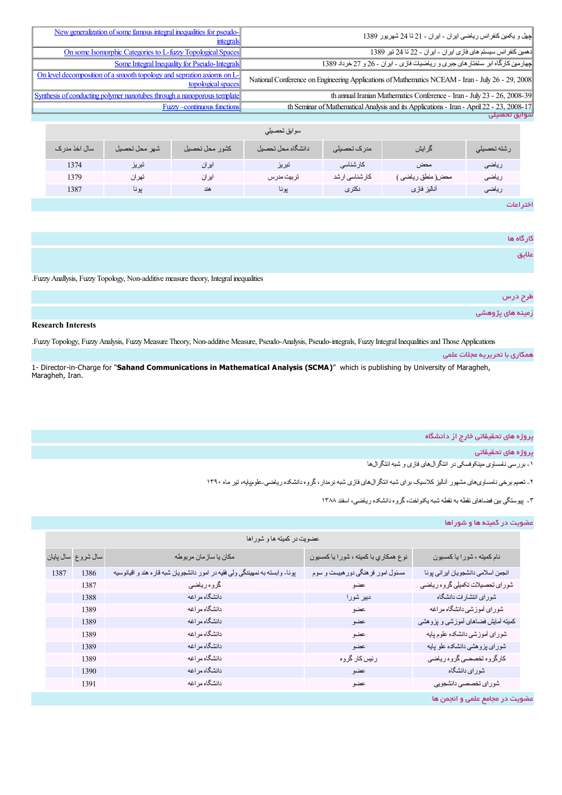| New generalization of some famous integral inequalities for pseudo-<br>integrals                | جهل و  پکمبن کنفر انس ر پاضبي اير ان  ـ اير ان  ـ 21 تا 24 شهر يو ر  1389                        |
|-------------------------------------------------------------------------------------------------|--------------------------------------------------------------------------------------------------|
| On some Isomorphic Categories to L-fuzzy Topological Spaces                                     | دهمین کنفر انس سیستم های فاز ی ایر ان - ایر ان - 22 تا 24 تیر 1389                               |
| <b>Some Integral Inequality for Pseudo-Integrals</b>                                            | چهارمین کارگاه ابر سلختار های جبری و ریاضیات فازی - ایران - 26 و 27 خرداد 1389                   |
| On level decomposition of a smooth topology and sepration axioms on $L_1$<br>topological spaces | National Conference on Engineering Applications of Mathematics NCEAM - Iran - July 26 - 29, 2008 |
| Synthesis of conducting polymer nanotubes through a nanoporous template                         | th annual Iranian Mathematics Conference - Iran - July 23 - 26, 2008-39                          |
| <b>Fuzzy-continuous functions</b>                                                               | th Seminar of Mathematical Analysis and its Applications - Iran - April 22 - 23, 2008-17         |
|                                                                                                 | سوابق تحصيلى                                                                                     |

|               |               |                | سوابق تحصبلى      |                 |                   |             |
|---------------|---------------|----------------|-------------------|-----------------|-------------------|-------------|
| سال اخذ مدر ک | شهر محل تحصيل | كشور محل تحصيل | دانشگاه محل تحصيل | مدر ک تحصیلی    | گر ایش            | رشته تحصيلى |
| 1374          | تبر يز        | ایر ان         | تبريز             | كارشناسى        | محض               | رياضى       |
| 1379          | تھر ان        | ايران          | تربيت مدرس        | كار شناسي ار شد | محض( منطق رياضي َ | رياضي       |
| 1387          | يونا          | هند            | يونا              | نكترى           | أناليز فازى       | رياضى       |
|               |               |                |                   |                 |                   | .           |

اختراعات

|                                                                                      | کار گاه ها       |
|--------------------------------------------------------------------------------------|------------------|
|                                                                                      | علايق            |
| .Fuzzy Anallysis, Fuzzy Topology, Non-additive measure theory, Integral inequalities |                  |
|                                                                                      | طرح درس          |
|                                                                                      | زمینه های پژوهشی |

# **Research Interests**

.FuzzyTopology, FuzzyAnalysis, FuzzyMeasure Theory, Non-additive Measure, Pseudo-Analysis, Pseudo-integrals, Fuzzy IntegralInequalitiesand Those Applications

|                                                                                                                                                     | همکاری با تحریریه مجلات علمی |
|-----------------------------------------------------------------------------------------------------------------------------------------------------|------------------------------|
| 1- Director-in-Charge for "Sahand Communications in Mathematical Analysis (SCMA)" which is publishing by University of Maragheh,<br>Maragheh, Iran. |                              |

# پروژه های تحقیقاتی خارج از دانشگاه

پروژههاي تحقیقاتی

-١ بررسی نامساوی مینکوفسکی در انتگرالھای فازی و شبھ انتگرالھا

-٢ تعمیم برخی نامساویھای مشھور آنالیز کلاسیک برای شبھ انتگرالھای فازی شبھ نرمدار،گروه دانشکده ریاضی-علومپایھ، تیر ماه ١٣٩٠

-٣ پیوستگی بین فضاھای نقطھ بھ نقطھ شبھ یکنواخت،گروه دانشکده ریاضی، اسفند ١٣٨٨

# عضویت در کمیته ها و شوراها

| عضويت در كميته ها و شوراها |                    |                                                                               |                                       |                                    |
|----------------------------|--------------------|-------------------------------------------------------------------------------|---------------------------------------|------------------------------------|
|                            | سال شروع سال پایان | مكان يا سازمان مربوطه                                                         | نوع همكاري با كميته ، شور ا يا كمسيون | نام کمیته ، شور ا یا کمسیون        |
| 1387                       | 1386               | پونا- وابسته به نمهیندگی ولی فقیه در امور دانشجویان شبه قار ه هند و اقیانوسیه | مسئول امور فرهنگي دورهبيست و سوم      | انجمن اسلامي دانشجويان ايراني پونا |
|                            | 1387               | گروه رياضي                                                                    | عضو                                   | شوراي تحصيلات تكميلي كروه رياضي    |
|                            | 1388               | دانشگاه مراغه                                                                 | دبیر شورا                             | شوراي انتشارات دانشگاه             |
|                            | 1389               | دانشگاه مراغه                                                                 | عضو                                   | شوراي أموزشي دانشگاه مراغه         |
|                            | 1389               | دانشگاه مراغه                                                                 | عضو                                   | کمیته آمایش فضاهای آموزشی و پزوهشی |
|                            | 1389               | دانشگاه مراغه                                                                 | عضو                                   | شوراى أموزشي دانشكده علوم پايه     |
|                            | 1389               | دانشگاه مراغه                                                                 | عضو                                   | شورای پزوهشی دانشکده علو پایه      |
|                            | 1389               | دانشگاه مراغه                                                                 | رئيس كار گروه                         | كارگروه تخصصي گروه رياضي           |
|                            | 1390               | دانشگاه مراغه                                                                 | عضو                                   | شوراي دانشگاه                      |
|                            | 1391               | دانشگاه مراغه                                                                 | عضو                                   | شوراي تخصصي دانشجويي               |
|                            |                    |                                                                               |                                       | عضویت در مجامع علمی و انجمن ها     |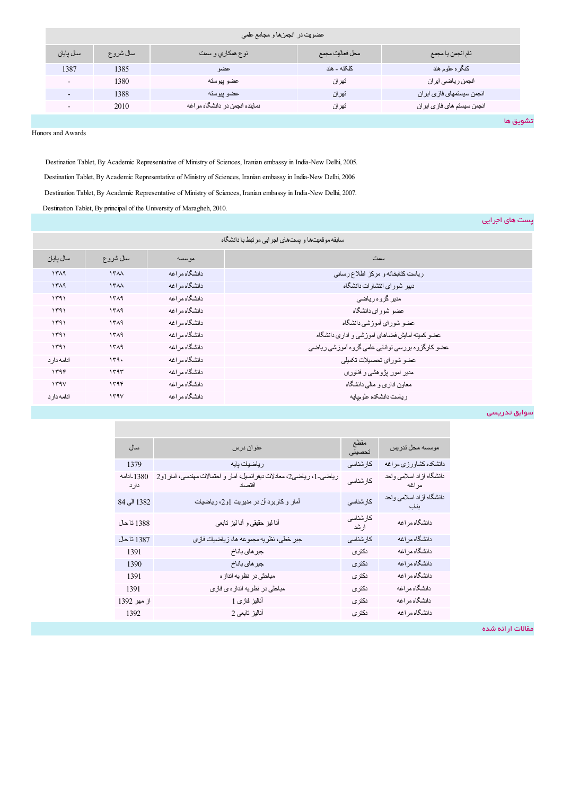| عضويت در انجمنها و مجامع علمي |          |                                |                 |                            |
|-------------------------------|----------|--------------------------------|-----------------|----------------------------|
| سال يايان                     | سال شروع | نوع همکاري و سمت               | محل فعاليت مجمع | نام انجمن يا مجمع          |
| 1387                          | 1385     | عضو                            | كلكته ـ هند     | كنگر ه علوم هند            |
| $\overline{\phantom{0}}$      | 1380     | عضو بيوسته                     | تهران           | انجمن رياضي ايران          |
| ۰                             | 1388     | عضو بيوسته                     | تھر ان          | انجمن سيستمهاى فازى ابران  |
| $\overline{\phantom{a}}$      | 2010     | نماینده انجمن در دانشگاه مراغه | تھر ان          | انجمن سيستم هاى فازى ايران |
|                               |          |                                |                 | تشويق ها                   |

Honors and Awards

Destination Tablet, By Academic Representative of Ministry of Sciences, Iranian embassy in India-New Delhi, 2005. Destination Tablet, By Academic Representative of Ministry of Sciences, Iranian embassy in India-New Delhi, 2006 Destination Tablet, By Academic Representative of Ministry of Sciences, Iranian embassy in India-New Delhi, 2007. Destination Tablet, By principal of the University of Maragheh, 2010.

پست هاي اجرایی

| سابقه موقعیتها و پستهای لجرایی مرتبط با دانشگاه |                  |                |                                                  |
|-------------------------------------------------|------------------|----------------|--------------------------------------------------|
| سال يايان                                       | سال شروع         | مو سسه         | سمٽ                                              |
| 141                                             | <b>1744</b>      | دانشگاه مر اغه | رياست كتابخانه و مركز اطلاع رساني                |
| 141                                             | 15 <sub>AA</sub> | دانشگاه مر اغه | دبیر شو ر ای انتشار ات دانشگاه                   |
| 1591                                            | 1511             | دانشگاه مر اغه | مدیر گروہ ریاضی                                  |
| 1591                                            | 1519             | دانشگاه مر اغه | عضو شور ای دانشگاه                               |
| ۱۳۹۱                                            | 1511             | دانشگاه مر اغه | عضو شور ای آموز شی دانشگاه                       |
| ۱۳۹۱                                            | 1519             | دانشگاه مر اغه | عضو کمیته أمایش فضاهای أموزشی و اداری دانشگاه    |
| 141                                             | 141              | دانشگاه مر اغه | عضو كارگزوه بررسي توانايي علمي گروه آموزشي رياضي |
| ادامه دار د                                     | 149.             | دانشگاه مر اغه | عضو شوراي تحصيلات تكميلي                         |
| ۱۳۹۴                                            | 144              | دانشگاه مر اغه | مدیر امور پژوهشی و فناوری                        |
| 159V                                            | ۱۳۹۴             | دانشگاه مر اغه | معاون اداری و مالی دانشگاه                       |
| ادامه دار د                                     | 159V             | دانشگاه مر اغه | رياست دانشكده علوميايه                           |

سوابق تدریسی

| سال                 | عنوان درس                                                                      | مقطع<br>تحصيلى    | موسسه محل تدريس                   |
|---------------------|--------------------------------------------------------------------------------|-------------------|-----------------------------------|
| 1379                | رياضيك پايه                                                                    | كار شناسى         | دانشکده کشاورزی مراغه             |
| 1380-ادامه<br>دار د | رياضي-1، رياضي2، معلالات ديفرانسيل، أمار و احتمالات مهندسي، أمار 1و2<br>اقتصاد | كارشناسي          | دانشگاه أزاد اسلامي واحد<br>مراغه |
| 1382 الى 84         | آمار و كاربرد آن در مديريت 1و2، رياضيك                                         | كار شناسى         | دانشگاه أزاد اسلامي واحد<br>بناب  |
| 1388 تاحل           | أنا لبز حقيقى و أنا لبز تابعي                                                  | كار شناسى<br>ارشد | دانشگاه مراغه                     |
| 1387 تاحل           | جبر خطي، نظريه مجموعه ها، زياضيك فازي                                          | کار شناسے ِ       | دانشگاه مراغه                     |
| 1391                | جبر هاي باناخ                                                                  | نكترى             | دانشگاه مراغه                     |
| 1390                | جبر هاي باناخ                                                                  | دکتر ی            | دانشگاه مراغه                     |
| 1391                | مبلحثي در نظريه انداز ه                                                        | نكترى             | دانشگاه مراغه                     |
| 1391                | مبلحثی در نظریه انداز ه ی فازی                                                 | دکتر ی            | دانشگاه مراغه                     |
| از مهر 1392         | أناليز فازى 1                                                                  | ىكتر ي            | دانشگاه مراغه                     |
| 1392                | أناليز تابعي 2                                                                 | ىكتر ي            | دانشگاه مراغه                     |
|                     |                                                                                |                   |                                   |

مقالات ارائه شده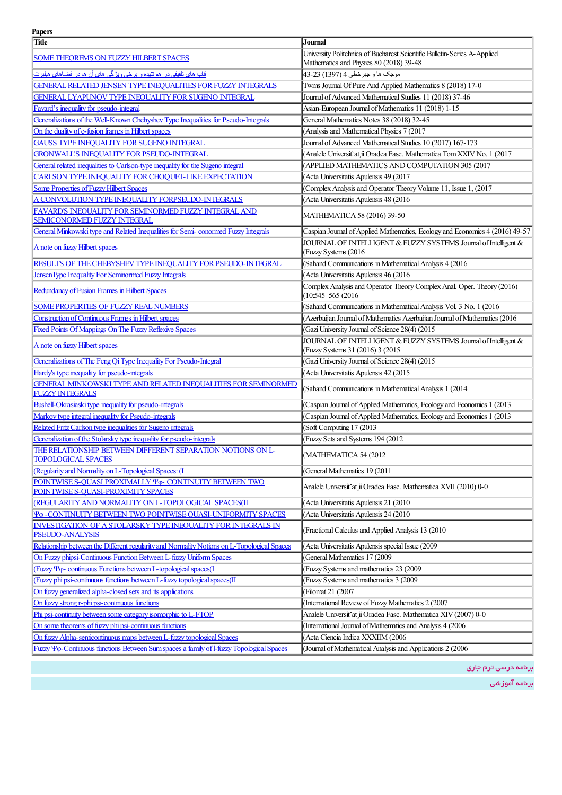## **Papers**

| Title                                                                                                      | Journal                                                                                                             |
|------------------------------------------------------------------------------------------------------------|---------------------------------------------------------------------------------------------------------------------|
| <b>SOME THEOREMS ON FUZZY HILBERT SPACES</b>                                                               | University Politehnica of Bucharest Scientific Bulletin-Series A-Applied<br>Mathematics and Physics 80 (2018) 39-48 |
| قلب های تلفیقی در هم تنیده و برخی ویژگی های آن ها در فضاهای هیلبرت                                         | موجك ها و جبرخطي 4 (1397) 23-43                                                                                     |
| GENERAL RELATED JENSEN TYPE INEQUALITIES FOR FUZZY INTEGRALS                                               | Twns Journal Of Pure And Applied Mathematics 8 (2018) 17-0                                                          |
| GENERAL LYAPUNOV TYPE INEQUALITY FOR SUGENO INTEGRAL                                                       | Journal of Advanced Mathematical Studies 11 (2018) 37-46                                                            |
| Favard's inequality for pseudo-integral                                                                    | Asian-European Journal of Mathematics 11 (2018) 1-15                                                                |
| Generalizations of the Well-Known Chebyshev Type Inequalities for Pseudo-Integrals                         | General Mathematics Notes 38 (2018) 32-45                                                                           |
| On the duality of c-fusion frames in Hilbert spaces                                                        | (Analysis and Mathematical Physics 7 (2017                                                                          |
| <b>GAUSS TYPE INEQUALITY FOR SUGENO INTEGRAL</b>                                                           | Journal of Advanced Mathematical Studies 10 (2017) 167-173                                                          |
| <b>GRONWALL'S INEQUALITY FOR PSEUDO-INTEGRAL</b>                                                           | (Analele Universit at ii Oradea Fasc. Mathematica Tom XXIV No. 1 (2017                                              |
| General related inequalities to Carlson-type inequality for the Sugeno integral                            | (APPLIED MATHEMATICS AND COMPUTATION 305 (2017                                                                      |
| CARLSON TYPE INEQUALITY FOR CHOQUET-LIKE EXPECTATION                                                       | (Acta Universitatis Apulensis 49 (2017                                                                              |
| <b>Some Properties of Fuzzy Hilbert Spaces</b>                                                             | (Complex Analysis and Operator Theory Volume 11, Issue 1, (2017                                                     |
| A CONVOLUTION TYPE INEQUALITY FORPSEUDO-INTEGRALS                                                          | (Acta Universitatis Apulensis 48 (2016                                                                              |
| FAVARD'S INEQUALITY FOR SEMINORMED FUZZY INTEGRAL AND<br><b>SEMICONORMED FUZZY INTEGRAL</b>                | MATHEMATICA 58 (2016) 39-50                                                                                         |
| General Minkowski type and Related Inequalities for Semi-conormed Fuzzy Integrals                          | Caspian Journal of Applied Mathematics, Ecology and Economics 4 (2016) 49-57                                        |
|                                                                                                            | JOURNAL OF INTELLIGENT & FUZZY SYSTEMS Journal of Intelligent &                                                     |
| A note on fuzzy Hilbert spaces                                                                             | (Fuzzy Systems (2016)                                                                                               |
| RESULTS OF THE CHEBYSHEV TYPE INEQUALITY FOR PSEUDO-INTEGRAL                                               | (Sahand Communications in Mathematical Analysis 4 (2016)                                                            |
| JensenType Inequality For Seminormed Fuzzy Integrals                                                       | (Acta Universitatis Apulensis 46 (2016                                                                              |
| Redundancy of Fusion Frames in Hilbert Spaces                                                              | Complex Analysis and Operator Theory Complex Anal. Oper. Theory (2016)<br>$(10:545-565(2016$                        |
| <b>SOME PROPERTIES OF FUZZY REAL NUMBERS</b>                                                               | (Sahand Communications in Mathematical Analysis Vol. 3 No. 1 (2016                                                  |
| <b>Construction of Continuous Frames in Hilbert spaces</b>                                                 | (Azerbaijan Journal of Mathematics Azerbaijan Journal of Mathematics (2016)                                         |
| Fixed Points Of Mappings On The Fuzzy Reflexive Spaces                                                     | (Gazi University Journal of Science 28(4) (2015                                                                     |
| A note on fuzzy Hilbert spaces                                                                             | JOURNAL OF INTELLIGENT & FUZZY SYSTEMS Journal of Intelligent &<br>(Fuzzy Systems 31 (2016) 3 (2015                 |
| Generalizations of The Feng Qi Type Inequality For Pseudo-Integral                                         | (Gazi University Journal of Science 28(4) (2015                                                                     |
| Hardy's type inequality for pseudo-integrals                                                               | (Acta Universitatis Apulensis 42 (2015                                                                              |
| GENERAL MINKOWSKI TYPE AND RELATED INEQUALITIES FOR SEMINORMED<br><b>FUZZY INTEGRALS</b>                   | (Sahand Communications in Mathematical Analysis 1 (2014)                                                            |
| Bushell-Okrasiaski type inequality for pseudo-integrals                                                    | (Caspian Journal of Applied Mathematics, Ecology and Economics 1 (2013)                                             |
| Markov type integral inequality for Pseudo-integrals                                                       | (Caspian Journal of Applied Mathematics, Ecology and Economics 1 (2013)                                             |
| Related Fritz Carlson type inequalities for Sugeno integrals                                               | (Soft Computing 17 (2013)                                                                                           |
| Generalization of the Stolarsky type inequality for pseudo-integrals                                       | (Fuzzy Sets and Systems 194 (2012)                                                                                  |
| THE RELATIONSHIP BETWEEN DIFFERENT SEPARATION NOTIONS ON L-<br><b>TOPOLOGICAL SPACES</b>                   | (MATHEMATICA 54 (2012                                                                                               |
| (Regularity and Normality on L-Topological Spaces: (I                                                      | (General Mathematics 19 (2011                                                                                       |
| POINTWISE S-QUASI PROXIMALLY Y <sub>0</sub> - CONTINUITY BETWEEN TWO<br>POINTWISE S-QUASI-PROXIMITY SPACES | Analele Universit at ii Oradea Fasc. Mathematica XVII (2010) 0-0                                                    |
| (REGULARITY AND NORMALITY ON L-TOPOLOGICAL SPACES(II                                                       | (Acta Universitatis Apulensis 21 (2010                                                                              |
| <b>YO -CONTINUITY BETWEEN TWO POINTWISE QUASI-UNIFORMITY SPACES</b>                                        | (Acta Universitatis Apulensis 24 (2010                                                                              |
| <b>INVESTIGATION OF A STOLARSKY TYPE INEQUALITY FOR INTEGRALS IN</b><br>PSEUDO-ANALYSIS                    | (Fractional Calculus and Applied Analysis 13 (2010)                                                                 |
| Relationship between the Different regularity and Normality Notions on L-Topological Spaces                | (Acta Universitatis Apulensis special Issue (2009                                                                   |
| On Fuzzy phipsi-Continuous Function Between L-fuzzy Uniform Spaces                                         | (General Mathematics 17 (2009)                                                                                      |
| (Fuzzy $\Psi\varphi$ - continuous Functions between L-topological spaces(I                                 | (Fuzzy Systems and mathematics 23 (2009                                                                             |
| (Fuzzy phi psi-continuous functions between L-fuzzy topological spaces(II                                  | (Fuzzy Systems and mathematics 3 (2009)                                                                             |
| On fuzzy generalized alpha-closed sets and its applications                                                | (Filomat 21 (2007                                                                                                   |
| On fuzzy strong r-phi psi-continuous functions                                                             | (International Review of Fuzzy Mathematics 2 (2007)                                                                 |
| Phi psi-continuity between some category isomorphic to L-FTOP                                              | Analele Universit at ii Oradea Fasc. Mathematica XIV (2007) 0-0                                                     |
| On some theorems of fuzzy phi psi-continuous functions                                                     | (International Journal of Mathematics and Analysis 4 (2006                                                          |
| On fuzzy Alpha-semicontinuous maps between L-fuzzy topological Spaces                                      | (Acta Ciencia Indica XXXIIM (2006                                                                                   |
| Fuzzy Yo-Continuous functions Between Sum spaces a family of l-fuzzy Topological Spaces                    | (Journal of Mathematical Analysis and Applications 2 (2006                                                          |

برنامه درسی ترم *ج*اری

برنامهآموزشی